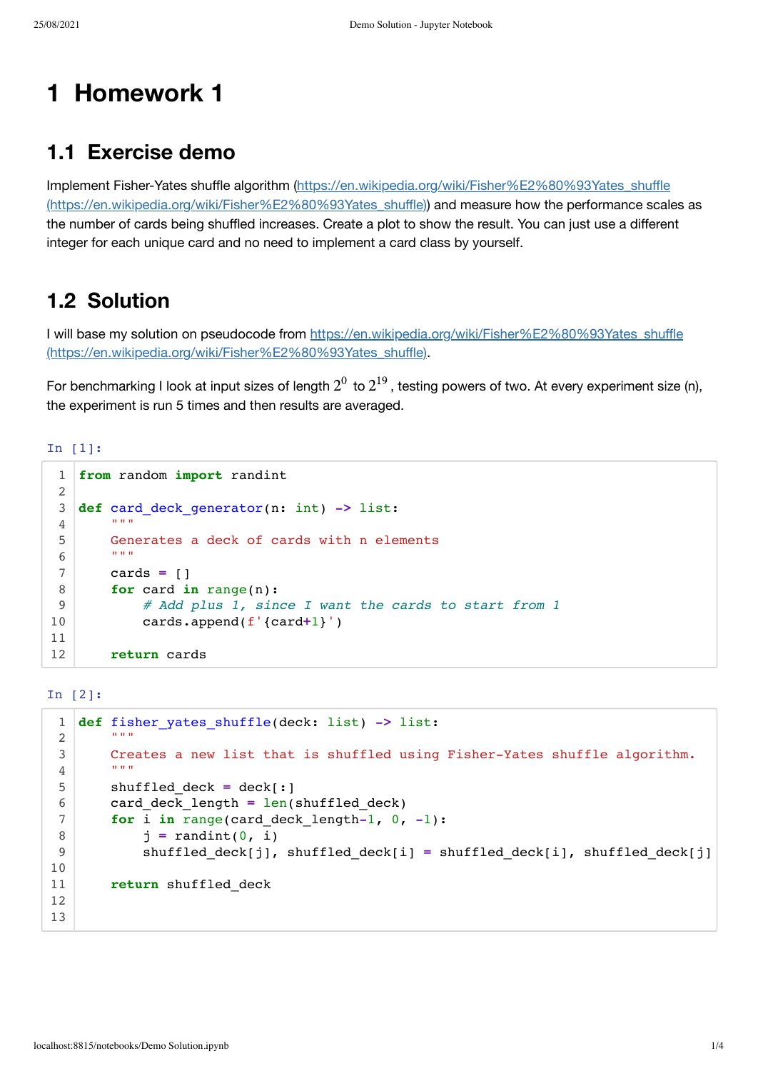# **1 Homework 1**

### **1.1 Exercise demo**

Implement Fisher-Yates shuffle algorithm (https://en.wikipedia.org/wiki/Fisher%E2%80%93Yates\_shuffle [\(https://en.wikipedia.org/wiki/Fisher%E2%80%93Yates\\_shuffle\)\)](https://en.wikipedia.org/wiki/Fisher%E2%80%93Yates_shuffle) and measure how the performance scales as the number of cards being shuffled increases. Create a plot to show the result. You can just use a different integer for each unique card and no need to implement a card class by yourself.

## **1.2 Solution**

I will base my solution on pseudocode from https://en.wikipedia.org/wiki/Fisher%E2%80%93Yates\_shuffle [\(https://en.wikipedia.org/wiki/Fisher%E2%80%93Yates\\_shuffle\).](https://en.wikipedia.org/wiki/Fisher%E2%80%93Yates_shuffle)

For benchmarking I look at input sizes of length  $2^0$  to  $2^{19}$ , testing powers of two. At every experiment size (n), the experiment is run 5 times and then results are averaged.

In [1]:

```
from random import randint
   def card_deck_generator(n: int) -> list:
     """
         Generates a deck of cards with n elements
        """ "
         cards = []
         for card in range(n):
             # Add plus 1, since I want the cards to start from 1
             cards.append(f'{card+1}')
         return cards
 1
 2
 3
 4
 5
 6
 7
 8
 9
10
11
12
```
In [2]:

```
def fisher_yates_shuffle(deck: list) -> list:
    """
        Creates a new list that is shuffled using Fisher-Yates shuffle algorithm.
        """ "
        shuffled_deck = deck[:]
        card_deck_length = len(shuffled_deck)
         for i in range(card_deck_length-1, 0, -1):
            j = randint(0, i)
            shuffled deck[j], shuffled deck[i] = shuffled deck[i], shuffled deck[j]
         return shuffled_deck
 1
 2
 3
 4
 5
 6
 7
 8
 9
10
11
12
13
```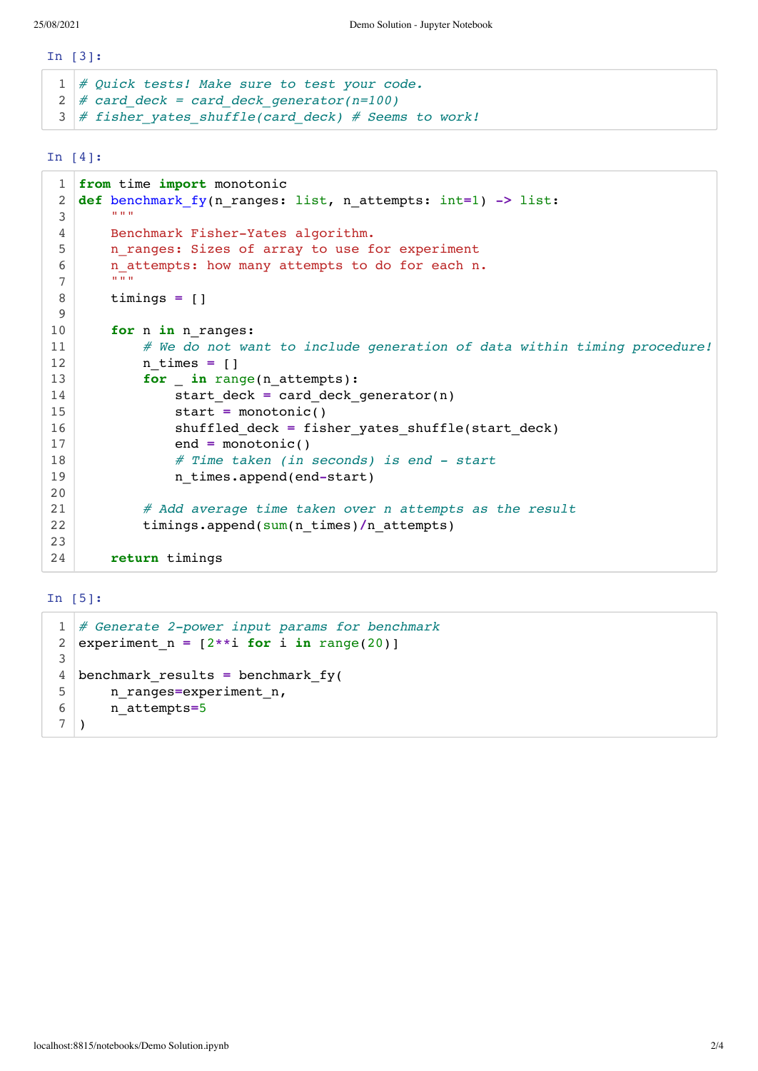In [3]:

```
# Quick tests! Make sure to test your code.
1
  # card_deck = card_deck_generator(n=100)
 # fisher_yates_shuffle(card_deck) # Seems to work!
2
3
```
In [4]:

```
from time import monotonic
   def benchmark_fy(n_ranges: list, n_attempts: int=1) -> list:
        \cdots "
         Benchmark Fisher-Yates algorithm.
        n ranges: Sizes of array to use for experiment
         n_attempts: how many attempts to do for each n.
     """
         timings = []
         for n in n_ranges:
             # We do not want to include generation of data within timing procedure!
            n times = []
             for _ in range(n_attempts):
                start deck = card deck generator(n)
                 start = monotonic()
                 shuffled_deck = fisher_yates_shuffle(start_deck)
                 end = monotonic()
                 # Time taken (in seconds) is end - start
                 n_times.append(end-start)
             # Add average time taken over n attempts as the result
             timings.append(sum(n_times)/n_attempts)
         return timings
 1
 2
 3
 4
 5
 6
 7
 8
 9
10
11
12
13
14
15
16
17
18
19
20
21
22
23
24
```
#### In [5]:

```
# Generate 2-power input params for benchmark
  experiment n = [2**i for i in range(20)]
  benchmark_results = benchmark_fy(
       n_ranges=experiment_n,
       n_attempts=5
  )
1
2
3
4
5
6
7
```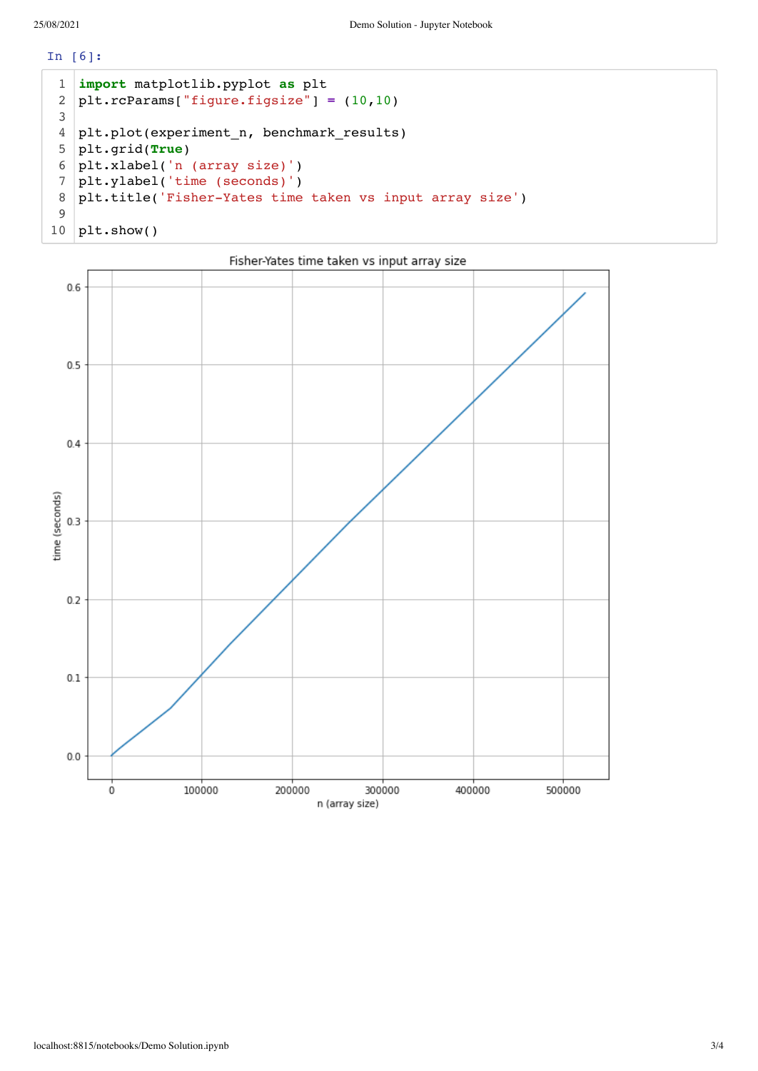In [6]:

```
import matplotlib.pyplot as plt
   plt.rcParams["figure.figsize"] = (10,10)
   plt.plot(experiment n, benchmark results)
   plt.grid(True)
   plt.xlabel('n (array size)')
   plt.ylabel('time (seconds)')
   plt.title('Fisher-Yates time taken vs input array size')
  plt.show()
1
2
3
4
5
6
7
8
9
10
```